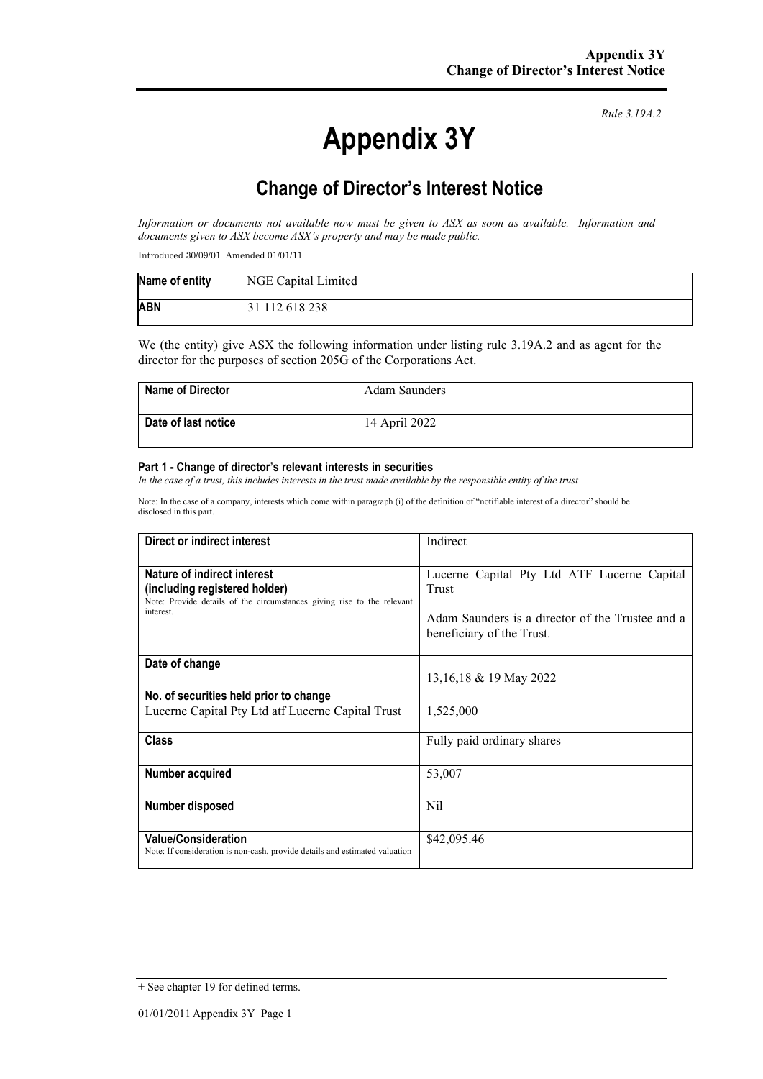# **Appendix 3Y**

*Rule 3.19A.2*

# **Change of Director's Interest Notice**

*Information or documents not available now must be given to ASX as soon as available. Information and documents given to ASX become ASX's property and may be made public.*

Introduced 30/09/01 Amended 01/01/11

| Name of entity | NGE Capital Limited |
|----------------|---------------------|
| <b>ABN</b>     | 31 112 618 238      |

We (the entity) give ASX the following information under listing rule 3.19A.2 and as agent for the director for the purposes of section 205G of the Corporations Act.

| <b>Name of Director</b> | Adam Saunders |
|-------------------------|---------------|
| Date of last notice     | 14 April 2022 |

#### **Part 1 - Change of director's relevant interests in securities**

*In the case of a trust, this includes interests in the trust made available by the responsible entity of the trust*

Note: In the case of a company, interests which come within paragraph (i) of the definition of "notifiable interest of a director" should be disclosed in this part.

| Direct or indirect interest                                                                                                                         | Indirect                                                                                                                              |  |
|-----------------------------------------------------------------------------------------------------------------------------------------------------|---------------------------------------------------------------------------------------------------------------------------------------|--|
| Nature of indirect interest<br>(including registered holder)<br>Note: Provide details of the circumstances giving rise to the relevant<br>interest. | Lucerne Capital Pty Ltd ATF Lucerne Capital<br>Trust<br>Adam Saunders is a director of the Trustee and a<br>beneficiary of the Trust. |  |
| Date of change                                                                                                                                      | 13,16,18 & 19 May 2022                                                                                                                |  |
| No. of securities held prior to change<br>Lucerne Capital Pty Ltd atf Lucerne Capital Trust                                                         | 1,525,000                                                                                                                             |  |
| <b>Class</b>                                                                                                                                        | Fully paid ordinary shares                                                                                                            |  |
| Number acquired                                                                                                                                     | 53,007                                                                                                                                |  |
| Number disposed                                                                                                                                     | Nil                                                                                                                                   |  |
| <b>Value/Consideration</b><br>Note: If consideration is non-cash, provide details and estimated valuation                                           | \$42,095.46                                                                                                                           |  |

<sup>+</sup> See chapter 19 for defined terms.